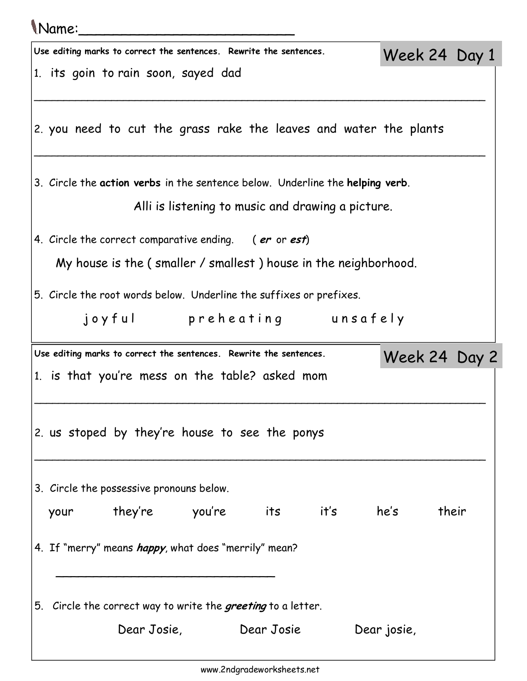## Name:\_\_\_\_\_\_\_\_\_\_\_\_\_\_\_\_\_\_\_\_\_\_\_\_\_ Use editing marks to correct the sentences. Rewrite the sentences. 1. its goin to rain soon, sayed dad \_\_\_\_\_\_\_\_\_\_\_\_\_\_\_\_\_\_\_\_\_\_\_\_\_\_\_\_\_\_\_\_\_\_\_\_\_\_\_\_\_\_\_\_\_\_\_\_\_\_\_\_\_\_\_\_\_\_\_\_\_\_\_\_\_\_\_\_\_\_\_\_\_\_\_\_ 2. you need to cut the grass rake the leaves and water the plants \_\_\_\_\_\_\_\_\_\_\_\_\_\_\_\_\_\_\_\_\_\_\_\_\_\_\_\_\_\_\_\_\_\_\_\_\_\_\_\_\_\_\_\_\_\_\_\_\_\_\_\_\_\_\_\_\_\_\_\_\_\_\_\_\_\_\_\_\_\_\_\_\_\_\_\_ 3. Circle the action verbs in the sentence below. Underline the helping verb. Alli is listening to music and drawing a picture. 4. Circle the correct comparative ending. (er or est) My house is the ( smaller / smallest ) house in the neighborhood. 5. Circle the root words below. Underline the suffixes or prefixes. joyful preheating unsafely Week 24 Day 1 Use editing marks to correct the sentences. Rewrite the sentences. 1. is that you're mess on the table? asked mom \_\_\_\_\_\_\_\_\_\_\_\_\_\_\_\_\_\_\_\_\_\_\_\_\_\_\_\_\_\_\_\_\_\_\_\_\_\_\_\_\_\_\_\_\_\_\_\_\_\_\_\_\_\_\_\_\_\_\_\_\_\_\_\_\_\_\_\_\_\_\_\_\_\_\_\_ 2. us stoped by they're house to see the ponys \_\_\_\_\_\_\_\_\_\_\_\_\_\_\_\_\_\_\_\_\_\_\_\_\_\_\_\_\_\_\_\_\_\_\_\_\_\_\_\_\_\_\_\_\_\_\_\_\_\_\_\_\_\_\_\_\_\_\_\_\_\_\_\_\_\_\_\_\_\_\_\_\_\_\_\_ 3. Circle the possessive pronouns below. your they're you're its it's he's their 4. If "merry" means *happy*, what does "merrily" mean?  $\overline{\phantom{a}}$  , and the contract of the contract of the contract of the contract of the contract of the contract of the contract of the contract of the contract of the contract of the contract of the contract of the contrac 5. Circle the correct way to write the *greeting* to a letter. Dear Josie, Dear Josie Dear josie, Week 24 Day 2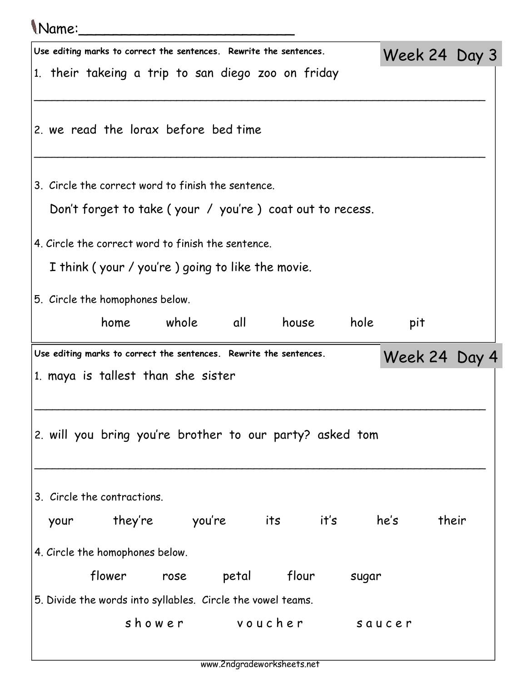## Name:\_\_\_\_\_\_\_\_\_\_\_\_\_\_\_\_\_\_\_\_\_\_\_\_\_

| Use editing marks to correct the sentences. Rewrite the sentences.<br>1. their takeing a trip to san diego zoo on friday |                                                          |      |       |                                     |  |       | Week 24 Day 3 |                                                                                     |  |  |  |  |  |  |  |  |
|--------------------------------------------------------------------------------------------------------------------------|----------------------------------------------------------|------|-------|-------------------------------------|--|-------|---------------|-------------------------------------------------------------------------------------|--|--|--|--|--|--|--|--|
|                                                                                                                          |                                                          |      |       |                                     |  |       |               |                                                                                     |  |  |  |  |  |  |  |  |
|                                                                                                                          |                                                          |      |       |                                     |  |       |               |                                                                                     |  |  |  |  |  |  |  |  |
| 2. we read the lorax before bed time                                                                                     |                                                          |      |       |                                     |  |       |               |                                                                                     |  |  |  |  |  |  |  |  |
|                                                                                                                          |                                                          |      |       |                                     |  |       |               |                                                                                     |  |  |  |  |  |  |  |  |
|                                                                                                                          |                                                          |      |       |                                     |  |       |               |                                                                                     |  |  |  |  |  |  |  |  |
| 3. Circle the correct word to finish the sentence.                                                                       |                                                          |      |       |                                     |  |       |               |                                                                                     |  |  |  |  |  |  |  |  |
|                                                                                                                          |                                                          |      |       |                                     |  |       |               |                                                                                     |  |  |  |  |  |  |  |  |
|                                                                                                                          | Don't forget to take (your / you're) coat out to recess. |      |       |                                     |  |       |               |                                                                                     |  |  |  |  |  |  |  |  |
| 4. Circle the correct word to finish the sentence.                                                                       |                                                          |      |       |                                     |  |       |               |                                                                                     |  |  |  |  |  |  |  |  |
| I think (your / you're) going to like the movie.                                                                         |                                                          |      |       |                                     |  |       |               |                                                                                     |  |  |  |  |  |  |  |  |
| 5. Circle the homophones below.                                                                                          |                                                          |      |       |                                     |  |       |               |                                                                                     |  |  |  |  |  |  |  |  |
|                                                                                                                          |                                                          |      |       |                                     |  |       |               |                                                                                     |  |  |  |  |  |  |  |  |
|                                                                                                                          | home whole all                                           |      |       | house                               |  | hole  | pit           |                                                                                     |  |  |  |  |  |  |  |  |
|                                                                                                                          |                                                          |      |       |                                     |  |       |               | Use editing marks to correct the sentences. Rewrite the sentences.<br>Week 24 Day 4 |  |  |  |  |  |  |  |  |
|                                                                                                                          |                                                          |      |       |                                     |  |       |               |                                                                                     |  |  |  |  |  |  |  |  |
| 1. maya is tallest than she sister                                                                                       |                                                          |      |       |                                     |  |       |               |                                                                                     |  |  |  |  |  |  |  |  |
|                                                                                                                          |                                                          |      |       |                                     |  |       |               |                                                                                     |  |  |  |  |  |  |  |  |
|                                                                                                                          |                                                          |      |       |                                     |  |       |               |                                                                                     |  |  |  |  |  |  |  |  |
| 2. will you bring you're brother to our party? asked tom                                                                 |                                                          |      |       |                                     |  |       |               |                                                                                     |  |  |  |  |  |  |  |  |
|                                                                                                                          |                                                          |      |       |                                     |  |       |               |                                                                                     |  |  |  |  |  |  |  |  |
|                                                                                                                          |                                                          |      |       |                                     |  |       |               |                                                                                     |  |  |  |  |  |  |  |  |
| 3. Circle the contractions.                                                                                              |                                                          |      |       |                                     |  |       |               |                                                                                     |  |  |  |  |  |  |  |  |
| your                                                                                                                     | they're                                                  |      |       | you're           its           it's |  |       | he's          | their                                                                               |  |  |  |  |  |  |  |  |
|                                                                                                                          |                                                          |      |       |                                     |  |       |               |                                                                                     |  |  |  |  |  |  |  |  |
| 4. Circle the homophones below.                                                                                          |                                                          |      |       |                                     |  |       |               |                                                                                     |  |  |  |  |  |  |  |  |
|                                                                                                                          | flower                                                   | rose | petal | flour                               |  | sugar |               |                                                                                     |  |  |  |  |  |  |  |  |
| 5. Divide the words into syllables. Circle the vowel teams.                                                              |                                                          |      |       |                                     |  |       |               |                                                                                     |  |  |  |  |  |  |  |  |
|                                                                                                                          |                                                          |      |       | shower voucher                      |  |       | saucer        |                                                                                     |  |  |  |  |  |  |  |  |